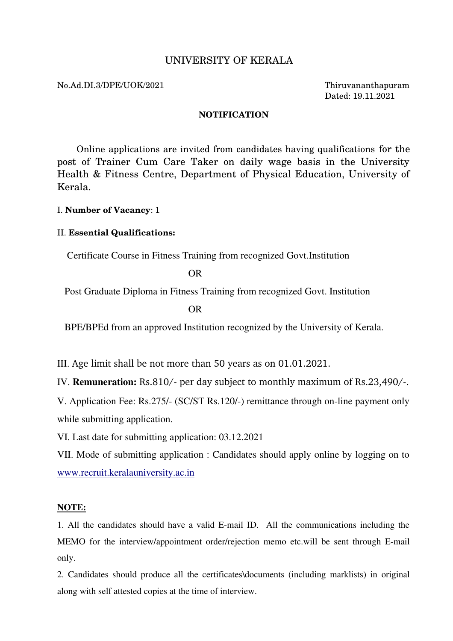# UNIVERSITY OF KERALA

### No.Ad.DI.3/DPE/UOK/2021 Thiruvananthapuram

Dated: 19.11.2021

### **NOTIFICATION**

 Online applications are invited from candidates having qualifications for the post of Trainer Cum Care Taker on daily wage basis in the University Health & Fitness Centre, Department of Physical Education, University of Kerala.

### I. **Number of Vacancy**: 1

### II. **Essential Qualifications:**

Certificate Course in Fitness Training from recognized Govt.Institution

OR

Post Graduate Diploma in Fitness Training from recognized Govt. Institution

OR

BPE/BPEd from an approved Institution recognized by the University of Kerala.

III. Age limit shall be not more than 50 years as on 01.01.2021.

IV. **Remuneration:** Rs.810/- per day subject to monthly maximum of Rs.23,490/-.

V. Application Fee: Rs.275/- (SC/ST Rs.120/-) remittance through on-line payment only while submitting application.

VI. Last date for submitting application: 03.12.2021

VII. Mode of submitting application : Candidates should apply online by logging on to [www.recruit.keralauniversity.ac.in](http://www.recruit.keralauniversity.ac.in/)

## NOTE:

1. All the candidates should have a valid E-mail ID. All the communications including the MEMO for the interview/appointment order/rejection memo etc.will be sent through E-mail only.

2. Candidates should produce all the certificates\documents (including marklists) in original along with self attested copies at the time of interview.